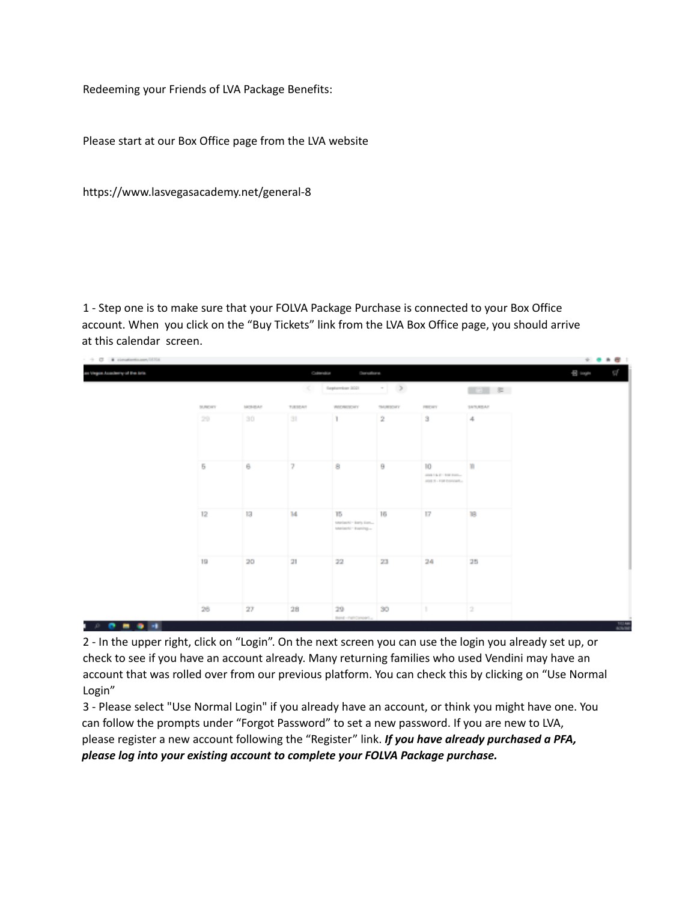Redeeming your Friends of LVA Package Benefits:

Please start at our Box Office page from the LVA website

https://www.lasvegasacademy.net/general-8

1 - Step one is to make sure that your FOLVA Package Purchase is connected to your Box Office account. When you click on the "Buy Tickets" link from the LVA Box Office page, you should arrive at this calendar screen.



2 - In the upper right, click on "Login". On the next screen you can use the login you already set up, or check to see if you have an account already. Many returning families who used Vendini may have an account that was rolled over from our previous platform. You can check this by clicking on "Use Normal Login"

3 - Please select "Use Normal Login" if you already have an account, or think you might have one. You can follow the prompts under "Forgot Password" to set a new password. If you are new to LVA, please register a new account following the "Register" link. *If you have already purchased a PFA, please log into your existing account to complete your FOLVA Package purchase.*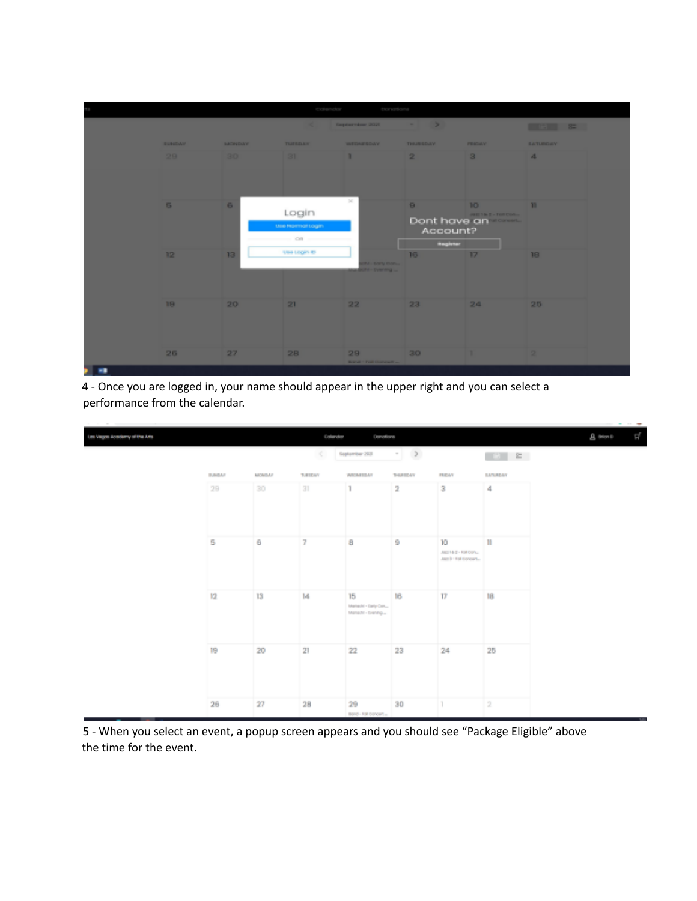

4 - Once you are logged in, your name should appear in the upper right and you can select a performance from the calendar.



5 - When you select an event, a popup screen appears and you should see "Package Eligible" above the time for the event.